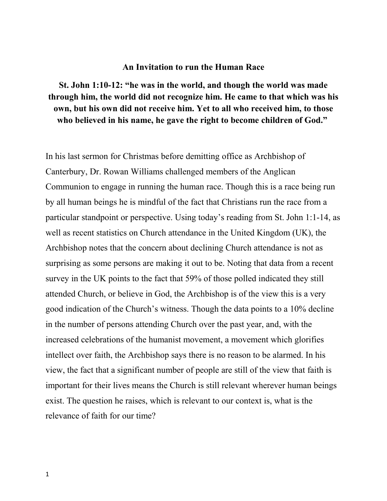## **An Invitation to run the Human Race**

**St. John 1:10-12: "he was in the world, and though the world was made through him, the world did not recognize him. He came to that which was his own, but his own did not receive him. Yet to all who received him, to those who believed in his name, he gave the right to become children of God."** 

In his last sermon for Christmas before demitting office as Archbishop of Canterbury, Dr. Rowan Williams challenged members of the Anglican Communion to engage in running the human race. Though this is a race being run by all human beings he is mindful of the fact that Christians run the race from a particular standpoint or perspective. Using today's reading from St. John 1:1-14, as well as recent statistics on Church attendance in the United Kingdom (UK), the Archbishop notes that the concern about declining Church attendance is not as surprising as some persons are making it out to be. Noting that data from a recent survey in the UK points to the fact that 59% of those polled indicated they still attended Church, or believe in God, the Archbishop is of the view this is a very good indication of the Church's witness. Though the data points to a 10% decline in the number of persons attending Church over the past year, and, with the increased celebrations of the humanist movement, a movement which glorifies intellect over faith, the Archbishop says there is no reason to be alarmed. In his view, the fact that a significant number of people are still of the view that faith is important for their lives means the Church is still relevant wherever human beings exist. The question he raises, which is relevant to our context is, what is the relevance of faith for our time?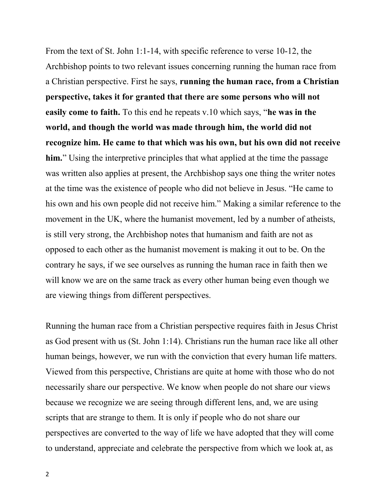From the text of St. John 1:1-14, with specific reference to verse 10-12, the Archbishop points to two relevant issues concerning running the human race from a Christian perspective. First he says, **running the human race, from a Christian perspective, takes it for granted that there are some persons who will not easily come to faith.** To this end he repeats v.10 which says, "**he was in the world, and though the world was made through him, the world did not recognize him. He came to that which was his own, but his own did not receive him.**" Using the interpretive principles that what applied at the time the passage was written also applies at present, the Archbishop says one thing the writer notes at the time was the existence of people who did not believe in Jesus. "He came to his own and his own people did not receive him." Making a similar reference to the movement in the UK, where the humanist movement, led by a number of atheists, is still very strong, the Archbishop notes that humanism and faith are not as opposed to each other as the humanist movement is making it out to be. On the contrary he says, if we see ourselves as running the human race in faith then we will know we are on the same track as every other human being even though we are viewing things from different perspectives.

Running the human race from a Christian perspective requires faith in Jesus Christ as God present with us (St. John 1:14). Christians run the human race like all other human beings, however, we run with the conviction that every human life matters. Viewed from this perspective, Christians are quite at home with those who do not necessarily share our perspective. We know when people do not share our views because we recognize we are seeing through different lens, and, we are using scripts that are strange to them. It is only if people who do not share our perspectives are converted to the way of life we have adopted that they will come to understand, appreciate and celebrate the perspective from which we look at, as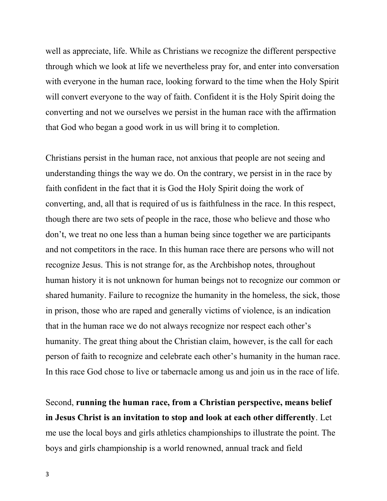well as appreciate, life. While as Christians we recognize the different perspective through which we look at life we nevertheless pray for, and enter into conversation with everyone in the human race, looking forward to the time when the Holy Spirit will convert everyone to the way of faith. Confident it is the Holy Spirit doing the converting and not we ourselves we persist in the human race with the affirmation that God who began a good work in us will bring it to completion.

Christians persist in the human race, not anxious that people are not seeing and understanding things the way we do. On the contrary, we persist in in the race by faith confident in the fact that it is God the Holy Spirit doing the work of converting, and, all that is required of us is faithfulness in the race. In this respect, though there are two sets of people in the race, those who believe and those who don't, we treat no one less than a human being since together we are participants and not competitors in the race. In this human race there are persons who will not recognize Jesus. This is not strange for, as the Archbishop notes, throughout human history it is not unknown for human beings not to recognize our common or shared humanity. Failure to recognize the humanity in the homeless, the sick, those in prison, those who are raped and generally victims of violence, is an indication that in the human race we do not always recognize nor respect each other's humanity. The great thing about the Christian claim, however, is the call for each person of faith to recognize and celebrate each other's humanity in the human race. In this race God chose to live or tabernacle among us and join us in the race of life.

Second, **running the human race, from a Christian perspective, means belief in Jesus Christ is an invitation to stop and look at each other differently**. Let me use the local boys and girls athletics championships to illustrate the point. The boys and girls championship is a world renowned, annual track and field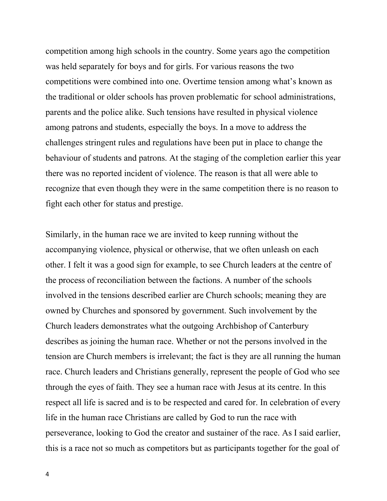competition among high schools in the country. Some years ago the competition was held separately for boys and for girls. For various reasons the two competitions were combined into one. Overtime tension among what's known as the traditional or older schools has proven problematic for school administrations, parents and the police alike. Such tensions have resulted in physical violence among patrons and students, especially the boys. In a move to address the challenges stringent rules and regulations have been put in place to change the behaviour of students and patrons. At the staging of the completion earlier this year there was no reported incident of violence. The reason is that all were able to recognize that even though they were in the same competition there is no reason to fight each other for status and prestige.

Similarly, in the human race we are invited to keep running without the accompanying violence, physical or otherwise, that we often unleash on each other. I felt it was a good sign for example, to see Church leaders at the centre of the process of reconciliation between the factions. A number of the schools involved in the tensions described earlier are Church schools; meaning they are owned by Churches and sponsored by government. Such involvement by the Church leaders demonstrates what the outgoing Archbishop of Canterbury describes as joining the human race. Whether or not the persons involved in the tension are Church members is irrelevant; the fact is they are all running the human race. Church leaders and Christians generally, represent the people of God who see through the eyes of faith. They see a human race with Jesus at its centre. In this respect all life is sacred and is to be respected and cared for. In celebration of every life in the human race Christians are called by God to run the race with perseverance, looking to God the creator and sustainer of the race. As I said earlier, this is a race not so much as competitors but as participants together for the goal of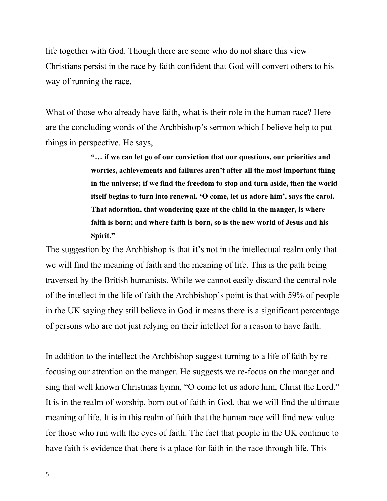life together with God. Though there are some who do not share this view Christians persist in the race by faith confident that God will convert others to his way of running the race.

What of those who already have faith, what is their role in the human race? Here are the concluding words of the Archbishop's sermon which I believe help to put things in perspective. He says,

> **"… if we can let go of our conviction that our questions, our priorities and worries, achievements and failures aren't after all the most important thing in the universe; if we find the freedom to stop and turn aside, then the world itself begins to turn into renewal. 'O come, let us adore him', says the carol. That adoration, that wondering gaze at the child in the manger, is where faith is born; and where faith is born, so is the new world of Jesus and his Spirit."**

The suggestion by the Archbishop is that it's not in the intellectual realm only that we will find the meaning of faith and the meaning of life. This is the path being traversed by the British humanists. While we cannot easily discard the central role of the intellect in the life of faith the Archbishop's point is that with 59% of people in the UK saying they still believe in God it means there is a significant percentage of persons who are not just relying on their intellect for a reason to have faith.

In addition to the intellect the Archbishop suggest turning to a life of faith by refocusing our attention on the manger. He suggests we re-focus on the manger and sing that well known Christmas hymn, "O come let us adore him, Christ the Lord." It is in the realm of worship, born out of faith in God, that we will find the ultimate meaning of life. It is in this realm of faith that the human race will find new value for those who run with the eyes of faith. The fact that people in the UK continue to have faith is evidence that there is a place for faith in the race through life. This